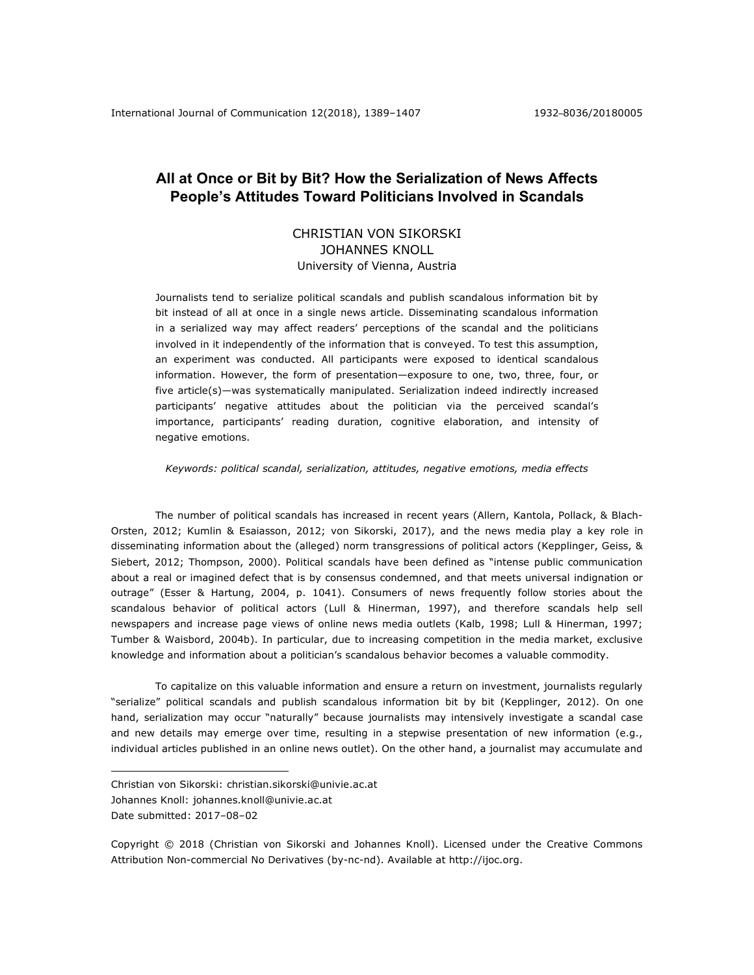# **All at Once or Bit by Bit? How the Serialization of News Affects People's Attitudes Toward Politicians Involved in Scandals**

# CHRISTIAN VON SIKORSKI JOHANNES KNOLL University of Vienna, Austria

Journalists tend to serialize political scandals and publish scandalous information bit by bit instead of all at once in a single news article. Disseminating scandalous information in a serialized way may affect readers' perceptions of the scandal and the politicians involved in it independently of the information that is conveyed. To test this assumption, an experiment was conducted. All participants were exposed to identical scandalous information. However, the form of presentation—exposure to one, two, three, four, or five article(s)—was systematically manipulated. Serialization indeed indirectly increased participants' negative attitudes about the politician via the perceived scandal's importance, participants' reading duration, cognitive elaboration, and intensity of negative emotions.

*Keywords: political scandal, serialization, attitudes, negative emotions, media effects*

The number of political scandals has increased in recent years (Allern, Kantola, Pollack, & Blach-Orsten, 2012; Kumlin & Esaiasson, 2012; von Sikorski, 2017), and the news media play a key role in disseminating information about the (alleged) norm transgressions of political actors (Kepplinger, Geiss, & Siebert, 2012; Thompson, 2000). Political scandals have been defined as "intense public communication about a real or imagined defect that is by consensus condemned, and that meets universal indignation or outrage" (Esser & Hartung, 2004, p. 1041). Consumers of news frequently follow stories about the scandalous behavior of political actors (Lull & Hinerman, 1997), and therefore scandals help sell newspapers and increase page views of online news media outlets (Kalb, 1998; Lull & Hinerman, 1997; Tumber & Waisbord, 2004b). In particular, due to increasing competition in the media market, exclusive knowledge and information about a politician's scandalous behavior becomes a valuable commodity.

To capitalize on this valuable information and ensure a return on investment, journalists regularly "serialize" political scandals and publish scandalous information bit by bit (Kepplinger, 2012). On one hand, serialization may occur "naturally" because journalists may intensively investigate a scandal case and new details may emerge over time, resulting in a stepwise presentation of new information (e.g., individual articles published in an online news outlet). On the other hand, a journalist may accumulate and

<u>.</u>

Copyright © 2018 (Christian von Sikorski and Johannes Knoll). Licensed under the Creative Commons Attribution Non-commercial No Derivatives (by-nc-nd). Available at http://ijoc.org.

Christian von Sikorski: christian.sikorski@univie.ac.at Johannes Knoll: johannes.knoll@univie.ac.at Date submitted: 2017–08–02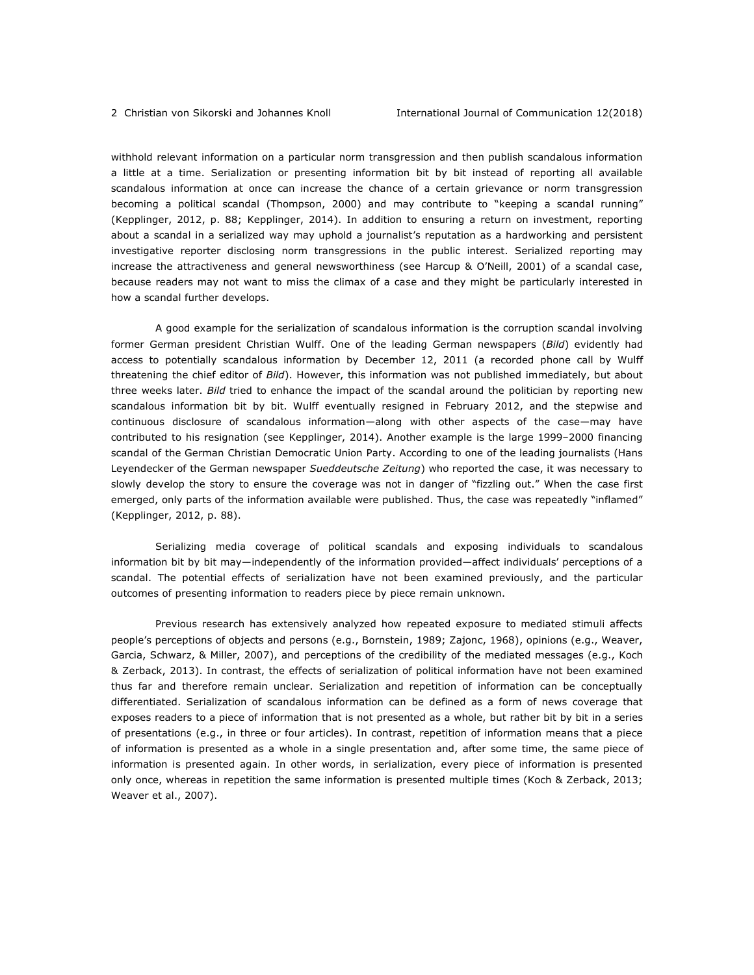withhold relevant information on a particular norm transgression and then publish scandalous information a little at a time. Serialization or presenting information bit by bit instead of reporting all available scandalous information at once can increase the chance of a certain grievance or norm transgression becoming a political scandal (Thompson, 2000) and may contribute to "keeping a scandal running" (Kepplinger, 2012, p. 88; Kepplinger, 2014). In addition to ensuring a return on investment, reporting about a scandal in a serialized way may uphold a journalist's reputation as a hardworking and persistent investigative reporter disclosing norm transgressions in the public interest. Serialized reporting may increase the attractiveness and general newsworthiness (see Harcup & O'Neill, 2001) of a scandal case, because readers may not want to miss the climax of a case and they might be particularly interested in how a scandal further develops.

A good example for the serialization of scandalous information is the corruption scandal involving former German president Christian Wulff. One of the leading German newspapers (*Bild*) evidently had access to potentially scandalous information by December 12, 2011 (a recorded phone call by Wulff threatening the chief editor of *Bild*). However, this information was not published immediately, but about three weeks later. *Bild* tried to enhance the impact of the scandal around the politician by reporting new scandalous information bit by bit. Wulff eventually resigned in February 2012, and the stepwise and continuous disclosure of scandalous information—along with other aspects of the case—may have contributed to his resignation (see Kepplinger, 2014). Another example is the large 1999–2000 financing scandal of the German Christian Democratic Union Party. According to one of the leading journalists (Hans Leyendecker of the German newspaper *Sueddeutsche Zeitung*) who reported the case, it was necessary to slowly develop the story to ensure the coverage was not in danger of "fizzling out." When the case first emerged, only parts of the information available were published. Thus, the case was repeatedly "inflamed" (Kepplinger, 2012, p. 88).

Serializing media coverage of political scandals and exposing individuals to scandalous information bit by bit may—independently of the information provided—affect individuals' perceptions of a scandal. The potential effects of serialization have not been examined previously, and the particular outcomes of presenting information to readers piece by piece remain unknown.

Previous research has extensively analyzed how repeated exposure to mediated stimuli affects people's perceptions of objects and persons (e.g., Bornstein, 1989; Zajonc, 1968), opinions (e.g., Weaver, Garcia, Schwarz, & Miller, 2007), and perceptions of the credibility of the mediated messages (e.g., Koch & Zerback, 2013). In contrast, the effects of serialization of political information have not been examined thus far and therefore remain unclear. Serialization and repetition of information can be conceptually differentiated. Serialization of scandalous information can be defined as a form of news coverage that exposes readers to a piece of information that is not presented as a whole, but rather bit by bit in a series of presentations (e.g., in three or four articles). In contrast, repetition of information means that a piece of information is presented as a whole in a single presentation and, after some time, the same piece of information is presented again. In other words, in serialization, every piece of information is presented only once, whereas in repetition the same information is presented multiple times (Koch & Zerback, 2013; Weaver et al., 2007).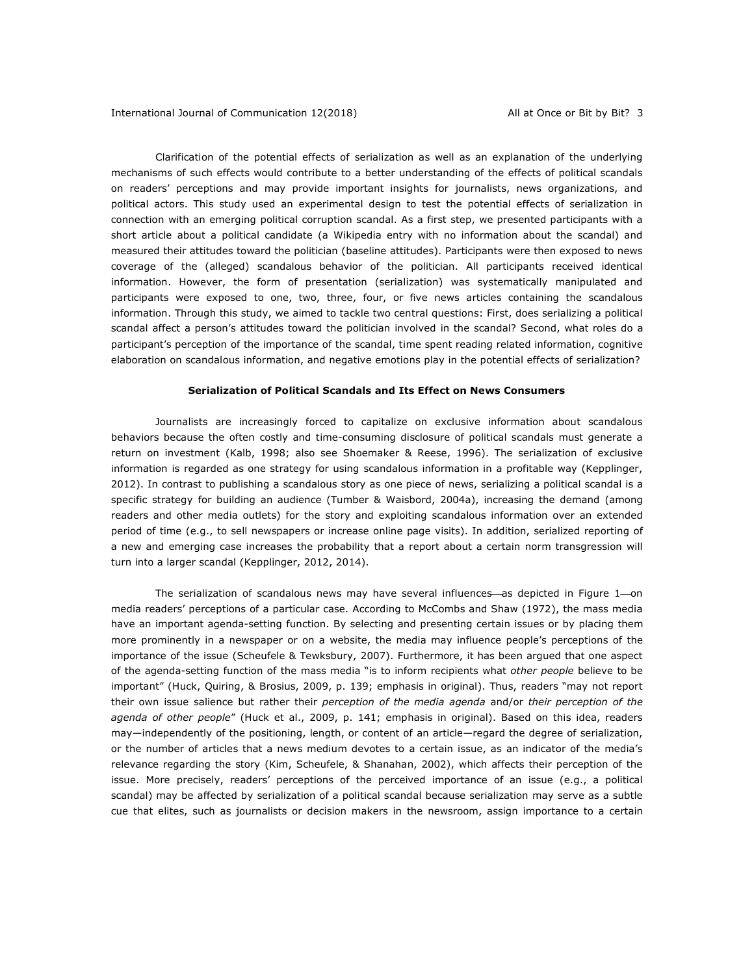Clarification of the potential effects of serialization as well as an explanation of the underlying mechanisms of such effects would contribute to a better understanding of the effects of political scandals on readers' perceptions and may provide important insights for journalists, news organizations, and political actors. This study used an experimental design to test the potential effects of serialization in connection with an emerging political corruption scandal. As a first step, we presented participants with a short article about a political candidate (a Wikipedia entry with no information about the scandal) and measured their attitudes toward the politician (baseline attitudes). Participants were then exposed to news coverage of the (alleged) scandalous behavior of the politician. All participants received identical information. However, the form of presentation (serialization) was systematically manipulated and participants were exposed to one, two, three, four, or five news articles containing the scandalous information. Through this study, we aimed to tackle two central questions: First, does serializing a political scandal affect a person's attitudes toward the politician involved in the scandal? Second, what roles do a participant's perception of the importance of the scandal, time spent reading related information, cognitive elaboration on scandalous information, and negative emotions play in the potential effects of serialization?

#### **Serialization of Political Scandals and Its Effect on News Consumers**

Journalists are increasingly forced to capitalize on exclusive information about scandalous behaviors because the often costly and time-consuming disclosure of political scandals must generate a return on investment (Kalb, 1998; also see Shoemaker & Reese, 1996). The serialization of exclusive information is regarded as one strategy for using scandalous information in a profitable way (Kepplinger, 2012). In contrast to publishing a scandalous story as one piece of news, serializing a political scandal is a specific strategy for building an audience (Tumber & Waisbord, 2004a), increasing the demand (among readers and other media outlets) for the story and exploiting scandalous information over an extended period of time (e.g., to sell newspapers or increase online page visits). In addition, serialized reporting of a new and emerging case increases the probability that a report about a certain norm transgression will turn into a larger scandal (Kepplinger, 2012, 2014).

The serialization of scandalous news may have several influences—as depicted in Figure  $1$ —on media readers' perceptions of a particular case. According to McCombs and Shaw (1972), the mass media have an important agenda-setting function. By selecting and presenting certain issues or by placing them more prominently in a newspaper or on a website, the media may influence people's perceptions of the importance of the issue (Scheufele & Tewksbury, 2007). Furthermore, it has been argued that one aspect of the agenda-setting function of the mass media "is to inform recipients what *other people* believe to be important" (Huck, Quiring, & Brosius, 2009, p. 139; emphasis in original). Thus, readers "may not report their own issue salience but rather their *perception of the media agenda* and/or *their perception of the agenda of other people*" (Huck et al., 2009, p. 141; emphasis in original). Based on this idea, readers may—independently of the positioning, length, or content of an article—regard the degree of serialization, or the number of articles that a news medium devotes to a certain issue, as an indicator of the media's relevance regarding the story (Kim, Scheufele, & Shanahan, 2002), which affects their perception of the issue. More precisely, readers' perceptions of the perceived importance of an issue (e.g., a political scandal) may be affected by serialization of a political scandal because serialization may serve as a subtle cue that elites, such as journalists or decision makers in the newsroom, assign importance to a certain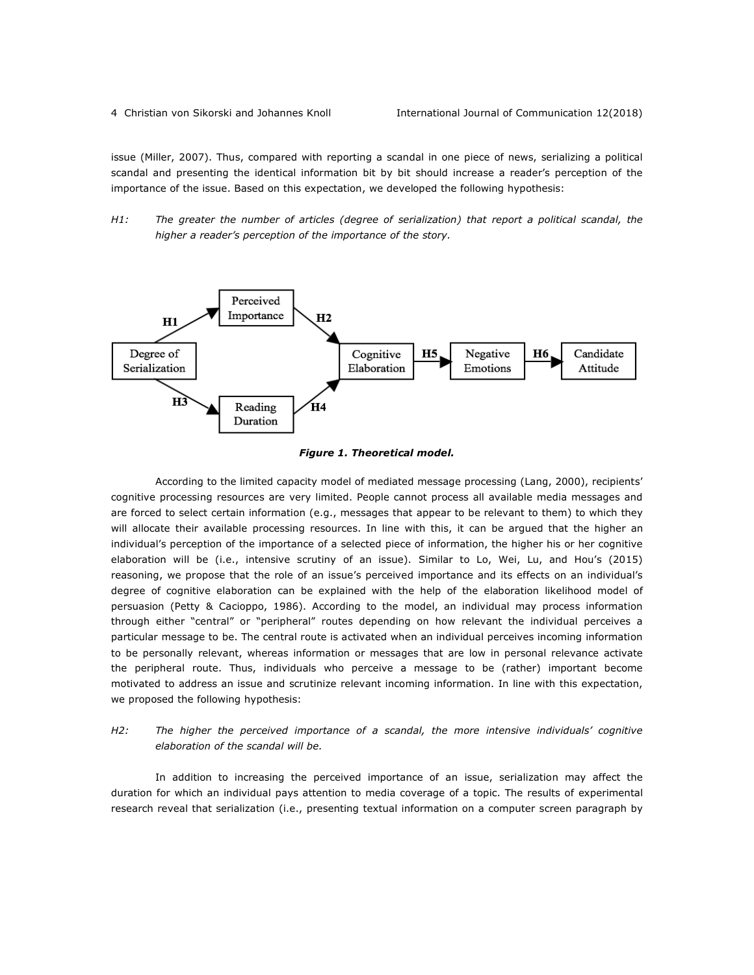issue (Miller, 2007). Thus, compared with reporting a scandal in one piece of news, serializing a political scandal and presenting the identical information bit by bit should increase a reader's perception of the importance of the issue. Based on this expectation, we developed the following hypothesis:

*H1: The greater the number of articles (degree of serialization) that report a political scandal, the higher a reader's perception of the importance of the story.*





According to the limited capacity model of mediated message processing (Lang, 2000), recipients' cognitive processing resources are very limited. People cannot process all available media messages and are forced to select certain information (e.g., messages that appear to be relevant to them) to which they will allocate their available processing resources. In line with this, it can be argued that the higher an individual's perception of the importance of a selected piece of information, the higher his or her cognitive elaboration will be (i.e., intensive scrutiny of an issue). Similar to Lo, Wei, Lu, and Hou's (2015) reasoning, we propose that the role of an issue's perceived importance and its effects on an individual's degree of cognitive elaboration can be explained with the help of the elaboration likelihood model of persuasion (Petty & Cacioppo, 1986). According to the model, an individual may process information through either "central" or "peripheral" routes depending on how relevant the individual perceives a particular message to be. The central route is activated when an individual perceives incoming information to be personally relevant, whereas information or messages that are low in personal relevance activate the peripheral route. Thus, individuals who perceive a message to be (rather) important become motivated to address an issue and scrutinize relevant incoming information. In line with this expectation, we proposed the following hypothesis:

# *H2: The higher the perceived importance of a scandal, the more intensive individuals' cognitive elaboration of the scandal will be.*

In addition to increasing the perceived importance of an issue, serialization may affect the duration for which an individual pays attention to media coverage of a topic. The results of experimental research reveal that serialization (i.e., presenting textual information on a computer screen paragraph by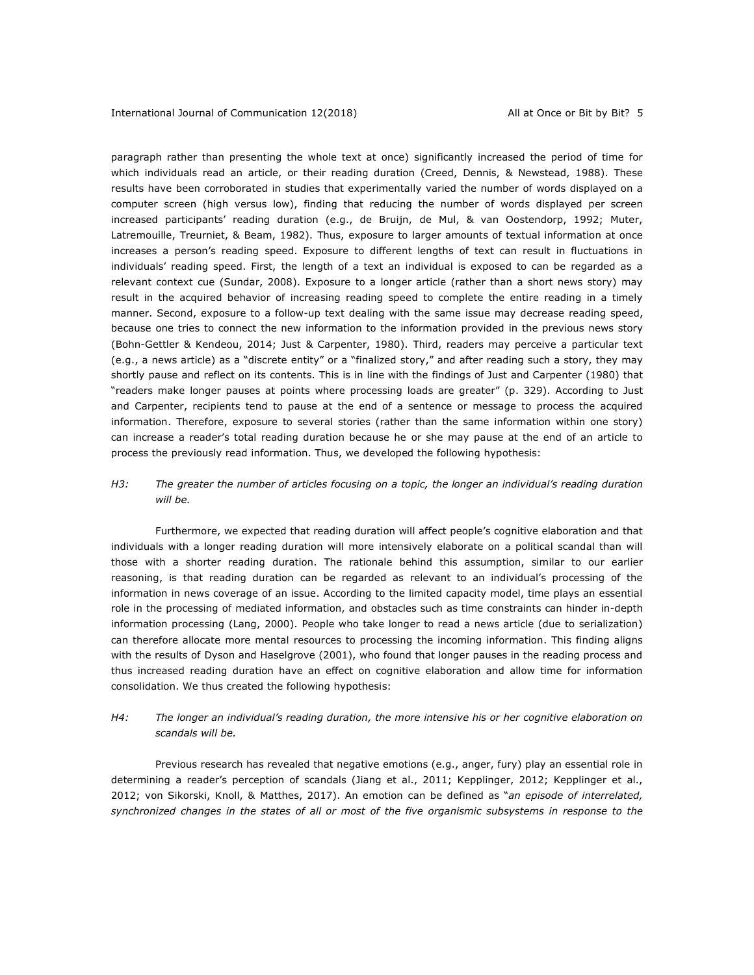paragraph rather than presenting the whole text at once) significantly increased the period of time for which individuals read an article, or their reading duration (Creed, Dennis, & Newstead, 1988). These results have been corroborated in studies that experimentally varied the number of words displayed on a computer screen (high versus low), finding that reducing the number of words displayed per screen increased participants' reading duration (e.g., de Bruijn, de Mul, & van Oostendorp, 1992; Muter, Latremouille, Treurniet, & Beam, 1982). Thus, exposure to larger amounts of textual information at once increases a person's reading speed. Exposure to different lengths of text can result in fluctuations in individuals' reading speed. First, the length of a text an individual is exposed to can be regarded as a relevant context cue (Sundar, 2008). Exposure to a longer article (rather than a short news story) may result in the acquired behavior of increasing reading speed to complete the entire reading in a timely manner. Second, exposure to a follow-up text dealing with the same issue may decrease reading speed, because one tries to connect the new information to the information provided in the previous news story (Bohn-Gettler & Kendeou, 2014; Just & Carpenter, 1980). Third, readers may perceive a particular text (e.g., a news article) as a "discrete entity" or a "finalized story," and after reading such a story, they may shortly pause and reflect on its contents. This is in line with the findings of Just and Carpenter (1980) that "readers make longer pauses at points where processing loads are greater" (p. 329). According to Just and Carpenter, recipients tend to pause at the end of a sentence or message to process the acquired information. Therefore, exposure to several stories (rather than the same information within one story) can increase a reader's total reading duration because he or she may pause at the end of an article to process the previously read information. Thus, we developed the following hypothesis:

# *H3: The greater the number of articles focusing on a topic, the longer an individual's reading duration will be.*

Furthermore, we expected that reading duration will affect people's cognitive elaboration and that individuals with a longer reading duration will more intensively elaborate on a political scandal than will those with a shorter reading duration. The rationale behind this assumption, similar to our earlier reasoning, is that reading duration can be regarded as relevant to an individual's processing of the information in news coverage of an issue. According to the limited capacity model, time plays an essential role in the processing of mediated information, and obstacles such as time constraints can hinder in-depth information processing (Lang, 2000). People who take longer to read a news article (due to serialization) can therefore allocate more mental resources to processing the incoming information. This finding aligns with the results of Dyson and Haselgrove (2001), who found that longer pauses in the reading process and thus increased reading duration have an effect on cognitive elaboration and allow time for information consolidation. We thus created the following hypothesis:

# *H4: The longer an individual's reading duration, the more intensive his or her cognitive elaboration on scandals will be.*

Previous research has revealed that negative emotions (e.g., anger, fury) play an essential role in determining a reader's perception of scandals (Jiang et al., 2011; Kepplinger, 2012; Kepplinger et al., 2012; von Sikorski, Knoll, & Matthes, 2017). An emotion can be defined as "*an episode of interrelated, synchronized changes in the states of all or most of the five organismic subsystems in response to the*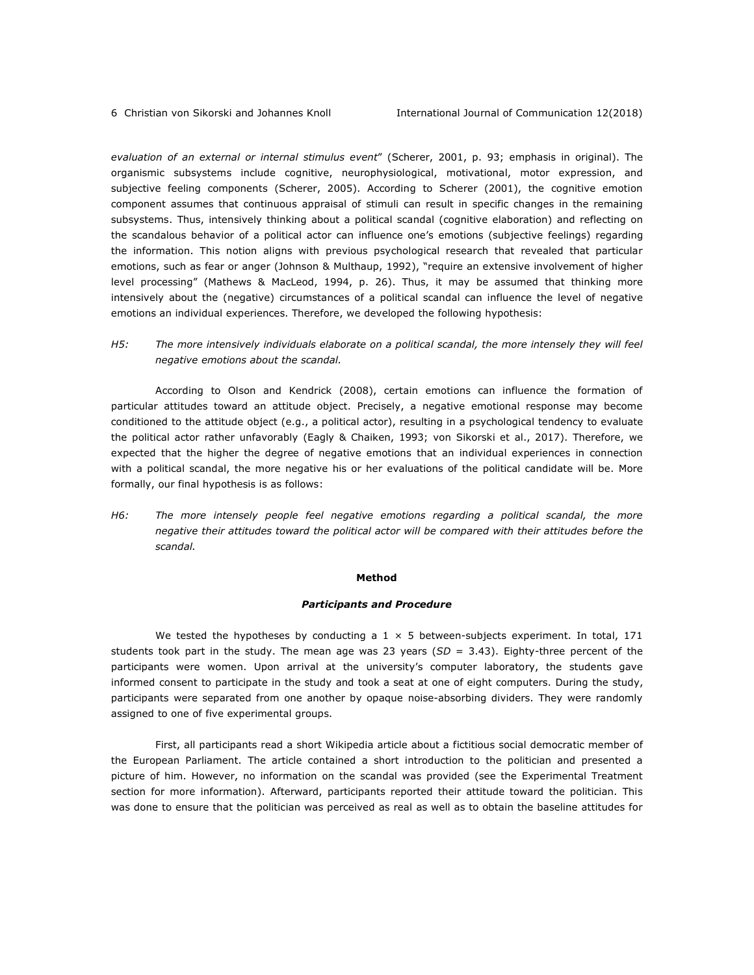*evaluation of an external or internal stimulus event*" (Scherer, 2001, p. 93; emphasis in original). The organismic subsystems include cognitive, neurophysiological, motivational, motor expression, and subjective feeling components (Scherer, 2005). According to Scherer (2001), the cognitive emotion component assumes that continuous appraisal of stimuli can result in specific changes in the remaining subsystems. Thus, intensively thinking about a political scandal (cognitive elaboration) and reflecting on the scandalous behavior of a political actor can influence one's emotions (subjective feelings) regarding the information. This notion aligns with previous psychological research that revealed that particular emotions, such as fear or anger (Johnson & Multhaup, 1992), "require an extensive involvement of higher level processing" (Mathews & MacLeod, 1994, p. 26). Thus, it may be assumed that thinking more intensively about the (negative) circumstances of a political scandal can influence the level of negative emotions an individual experiences. Therefore, we developed the following hypothesis:

*H5: The more intensively individuals elaborate on a political scandal, the more intensely they will feel negative emotions about the scandal.*

According to Olson and Kendrick (2008), certain emotions can influence the formation of particular attitudes toward an attitude object. Precisely, a negative emotional response may become conditioned to the attitude object (e.g., a political actor), resulting in a psychological tendency to evaluate the political actor rather unfavorably (Eagly & Chaiken, 1993; von Sikorski et al., 2017). Therefore, we expected that the higher the degree of negative emotions that an individual experiences in connection with a political scandal, the more negative his or her evaluations of the political candidate will be. More formally, our final hypothesis is as follows:

*H6: The more intensely people feel negative emotions regarding a political scandal, the more negative their attitudes toward the political actor will be compared with their attitudes before the scandal.* 

#### **Method**

#### *Participants and Procedure*

We tested the hypotheses by conducting a  $1 \times 5$  between-subjects experiment. In total, 171 students took part in the study. The mean age was 23 years (*SD* = 3.43). Eighty-three percent of the participants were women. Upon arrival at the university's computer laboratory, the students gave informed consent to participate in the study and took a seat at one of eight computers. During the study, participants were separated from one another by opaque noise-absorbing dividers. They were randomly assigned to one of five experimental groups.

First, all participants read a short Wikipedia article about a fictitious social democratic member of the European Parliament. The article contained a short introduction to the politician and presented a picture of him. However, no information on the scandal was provided (see the Experimental Treatment section for more information). Afterward, participants reported their attitude toward the politician. This was done to ensure that the politician was perceived as real as well as to obtain the baseline attitudes for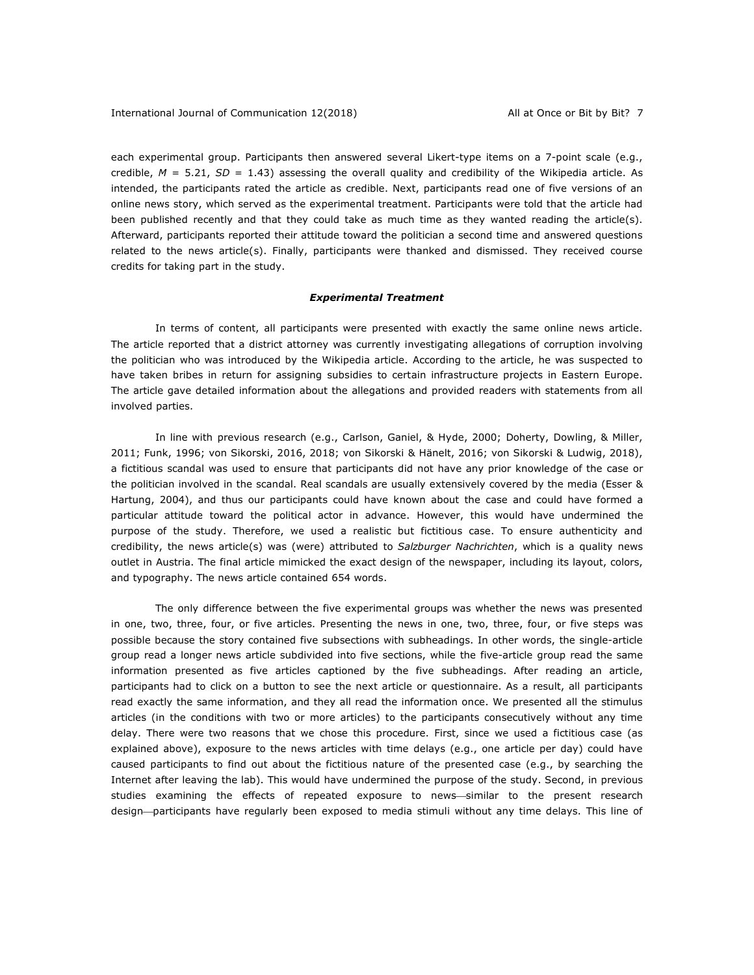each experimental group. Participants then answered several Likert-type items on a 7-point scale (e.g., credible,  $M = 5.21$ ,  $SD = 1.43$ ) assessing the overall quality and credibility of the Wikipedia article. As intended, the participants rated the article as credible. Next, participants read one of five versions of an online news story, which served as the experimental treatment. Participants were told that the article had been published recently and that they could take as much time as they wanted reading the article(s). Afterward, participants reported their attitude toward the politician a second time and answered questions related to the news article(s). Finally, participants were thanked and dismissed. They received course credits for taking part in the study.

#### *Experimental Treatment*

In terms of content, all participants were presented with exactly the same online news article. The article reported that a district attorney was currently investigating allegations of corruption involving the politician who was introduced by the Wikipedia article. According to the article, he was suspected to have taken bribes in return for assigning subsidies to certain infrastructure projects in Eastern Europe. The article gave detailed information about the allegations and provided readers with statements from all involved parties.

In line with previous research (e.g., Carlson, Ganiel, & Hyde, 2000; Doherty, Dowling, & Miller, 2011; Funk, 1996; von Sikorski, 2016, 2018; von Sikorski & Hänelt, 2016; von Sikorski & Ludwig, 2018), a fictitious scandal was used to ensure that participants did not have any prior knowledge of the case or the politician involved in the scandal. Real scandals are usually extensively covered by the media (Esser & Hartung, 2004), and thus our participants could have known about the case and could have formed a particular attitude toward the political actor in advance. However, this would have undermined the purpose of the study. Therefore, we used a realistic but fictitious case. To ensure authenticity and credibility, the news article(s) was (were) attributed to *Salzburger Nachrichten*, which is a quality news outlet in Austria. The final article mimicked the exact design of the newspaper, including its layout, colors, and typography. The news article contained 654 words.

The only difference between the five experimental groups was whether the news was presented in one, two, three, four, or five articles. Presenting the news in one, two, three, four, or five steps was possible because the story contained five subsections with subheadings. In other words, the single-article group read a longer news article subdivided into five sections, while the five-article group read the same information presented as five articles captioned by the five subheadings. After reading an article, participants had to click on a button to see the next article or questionnaire. As a result, all participants read exactly the same information, and they all read the information once. We presented all the stimulus articles (in the conditions with two or more articles) to the participants consecutively without any time delay. There were two reasons that we chose this procedure. First, since we used a fictitious case (as explained above), exposure to the news articles with time delays (e.g., one article per day) could have caused participants to find out about the fictitious nature of the presented case (e.g., by searching the Internet after leaving the lab). This would have undermined the purpose of the study. Second, in previous studies examining the effects of repeated exposure to news—similar to the present research design—participants have regularly been exposed to media stimuli without any time delays. This line of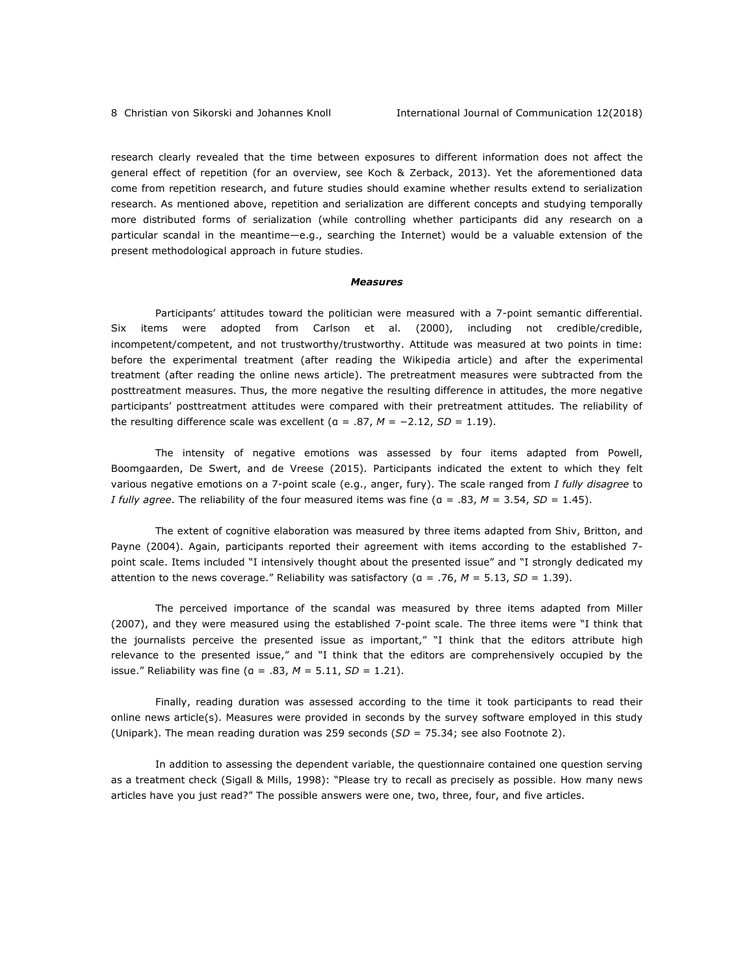research clearly revealed that the time between exposures to different information does not affect the general effect of repetition (for an overview, see Koch & Zerback, 2013). Yet the aforementioned data come from repetition research, and future studies should examine whether results extend to serialization research. As mentioned above, repetition and serialization are different concepts and studying temporally more distributed forms of serialization (while controlling whether participants did any research on a particular scandal in the meantime—e.g., searching the Internet) would be a valuable extension of the present methodological approach in future studies.

#### *Measures*

Participants' attitudes toward the politician were measured with a 7-point semantic differential. Six items were adopted from Carlson et al. (2000), including not credible/credible, incompetent/competent, and not trustworthy/trustworthy. Attitude was measured at two points in time: before the experimental treatment (after reading the Wikipedia article) and after the experimental treatment (after reading the online news article). The pretreatment measures were subtracted from the posttreatment measures. Thus, the more negative the resulting difference in attitudes, the more negative participants' posttreatment attitudes were compared with their pretreatment attitudes. The reliability of the resulting difference scale was excellent ( $a = .87$ ,  $M = -2.12$ ,  $SD = 1.19$ ).

The intensity of negative emotions was assessed by four items adapted from Powell, Boomgaarden, De Swert, and de Vreese (2015). Participants indicated the extent to which they felt various negative emotions on a 7-point scale (e.g., anger, fury). The scale ranged from *I fully disagree* to *I fully agree*. The reliability of the four measured items was fine (α = .83, *M* = 3.54, *SD* = 1.45).

The extent of cognitive elaboration was measured by three items adapted from Shiv, Britton, and Payne (2004). Again, participants reported their agreement with items according to the established 7 point scale. Items included "I intensively thought about the presented issue" and "I strongly dedicated my attention to the news coverage." Reliability was satisfactory (α = .76, *M* = 5.13, *SD* = 1.39).

The perceived importance of the scandal was measured by three items adapted from Miller (2007), and they were measured using the established 7-point scale. The three items were "I think that the journalists perceive the presented issue as important," "I think that the editors attribute high relevance to the presented issue," and "I think that the editors are comprehensively occupied by the issue." Reliability was fine (α = .83, *M* = 5.11, *SD* = 1.21).

Finally, reading duration was assessed according to the time it took participants to read their online news article(s). Measures were provided in seconds by the survey software employed in this study (Unipark). The mean reading duration was 259 seconds (*SD* = 75.34; see also Footnote 2).

In addition to assessing the dependent variable, the questionnaire contained one question serving as a treatment check (Sigall & Mills, 1998): "Please try to recall as precisely as possible. How many news articles have you just read?" The possible answers were one, two, three, four, and five articles.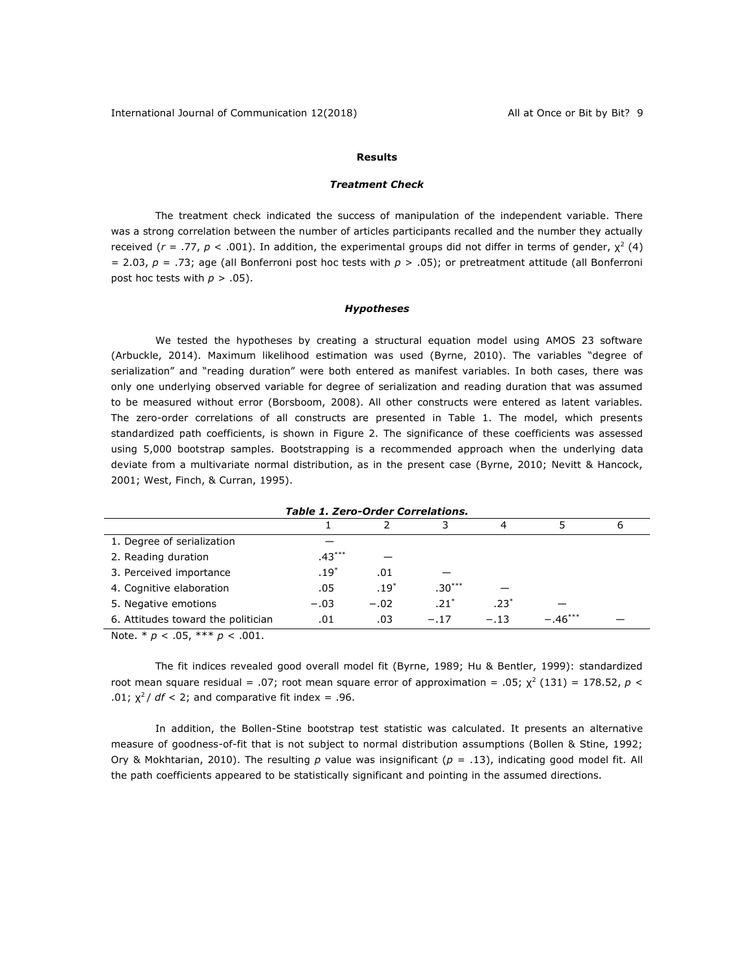### **Results**

#### *Treatment Check*

The treatment check indicated the success of manipulation of the independent variable. There was a strong correlation between the number of articles participants recalled and the number they actually received ( $r = .77$ ,  $p < .001$ ). In addition, the experimental groups did not differ in terms of gender,  $\chi^2$  (4) = 2.03, *p* = .73; age (all Bonferroni post hoc tests with *p* > .05); or pretreatment attitude (all Bonferroni post hoc tests with  $p > .05$ ).

#### *Hypotheses*

We tested the hypotheses by creating a structural equation model using AMOS 23 software (Arbuckle, 2014). Maximum likelihood estimation was used (Byrne, 2010). The variables "degree of serialization" and "reading duration" were both entered as manifest variables. In both cases, there was only one underlying observed variable for degree of serialization and reading duration that was assumed to be measured without error (Borsboom, 2008). All other constructs were entered as latent variables. The zero-order correlations of all constructs are presented in Table 1. The model, which presents standardized path coefficients, is shown in Figure 2. The significance of these coefficients was assessed using 5,000 bootstrap samples. Bootstrapping is a recommended approach when the underlying data deviate from a multivariate normal distribution, as in the present case (Byrne, 2010; Nevitt & Hancock, 2001; West, Finch, & Curran, 1995).

|                                    |          |        |          | 4      |           | ь |  |
|------------------------------------|----------|--------|----------|--------|-----------|---|--|
| 1. Degree of serialization         |          |        |          |        |           |   |  |
| 2. Reading duration                | $.43***$ |        |          |        |           |   |  |
| 3. Perceived importance            | $.19*$   | .01    |          |        |           |   |  |
| 4. Cognitive elaboration           | .05      | $.19*$ | $.30***$ |        |           |   |  |
| 5. Negative emotions               | $-.03$   | $-.02$ | $.21*$   | $.23*$ |           |   |  |
| 6. Attitudes toward the politician | .01      | .03    | $-.17$   | $-.13$ | $-.46***$ |   |  |
|                                    |          |        |          |        |           |   |  |

*Table 1. Zero-Order Correlations.*

Note. \* *p* < .05, \*\*\* *p* < .001.

The fit indices revealed good overall model fit (Byrne, 1989; Hu & Bentler, 1999): standardized root mean square residual = .07; root mean square error of approximation = .05;  $\chi^2$  (131) = 178.52,  $p <$ .01;  $\chi^2$  / *df* < 2; and comparative fit index = .96.

In addition, the Bollen-Stine bootstrap test statistic was calculated. It presents an alternative measure of goodness-of-fit that is not subject to normal distribution assumptions (Bollen & Stine, 1992; Ory & Mokhtarian, 2010). The resulting *p* value was insignificant (*p* = .13), indicating good model fit. All the path coefficients appeared to be statistically significant and pointing in the assumed directions.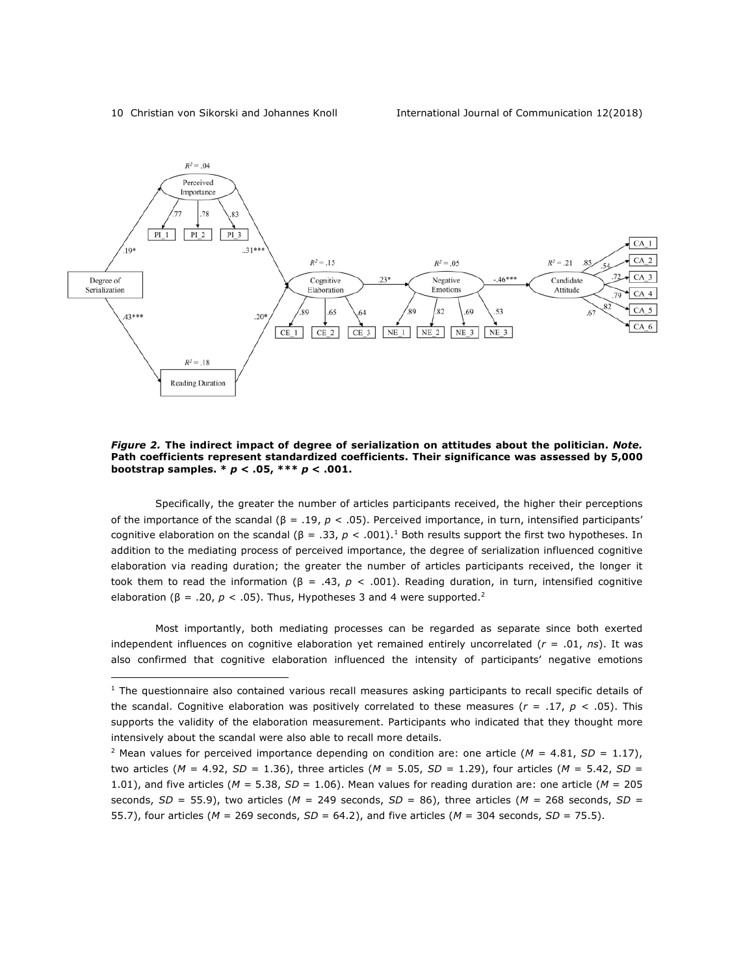<u>.</u>



*Figure 2.* **The indirect impact of degree of serialization on attitudes about the politician.** *Note.* **Path coefficients represent standardized coefficients. Their significance was assessed by 5,000 bootstrap samples. \*** *p* **< .05, \*\*\*** *p* **< .001.**

Specifically, the greater the number of articles participants received, the higher their perceptions of the importance of the scandal (β = .19, *p* < .05). Perceived importance, in turn, intensified participants' cognitive elaboration on the scandal (β = .33,  $p < .001$ ).<sup>1</sup> Both results support the first two hypotheses. In addition to the mediating process of perceived importance, the degree of serialization influenced cognitive elaboration via reading duration; the greater the number of articles participants received, the longer it took them to read the information (β = .43, *p* < .001). Reading duration, in turn, intensified cognitive elaboration ( $\beta = .20$ ,  $p < .05$ ). Thus, Hypotheses 3 and 4 were supported.<sup>2</sup>

Most importantly, both mediating processes can be regarded as separate since both exerted independent influences on cognitive elaboration yet remained entirely uncorrelated (*r* = .01, *ns*). It was also confirmed that cognitive elaboration influenced the intensity of participants' negative emotions

<sup>&</sup>lt;sup>1</sup> The questionnaire also contained various recall measures asking participants to recall specific details of the scandal. Cognitive elaboration was positively correlated to these measures  $(r = .17, p < .05)$ . This supports the validity of the elaboration measurement. Participants who indicated that they thought more intensively about the scandal were also able to recall more details.

<sup>&</sup>lt;sup>2</sup> Mean values for perceived importance depending on condition are: one article ( $M = 4.81$ ,  $SD = 1.17$ ), two articles (*M* = 4.92, *SD* = 1.36), three articles (*M* = 5.05, *SD* = 1.29), four articles (*M* = 5.42, *SD* = 1.01), and five articles (*M* = 5.38, *SD* = 1.06). Mean values for reading duration are: one article (*M* = 205 seconds, *SD* = 55.9), two articles (*M* = 249 seconds, *SD* = 86), three articles (*M* = 268 seconds, *SD* = 55.7), four articles (*M* = 269 seconds, *SD* = 64.2), and five articles (*M* = 304 seconds, *SD* = 75.5).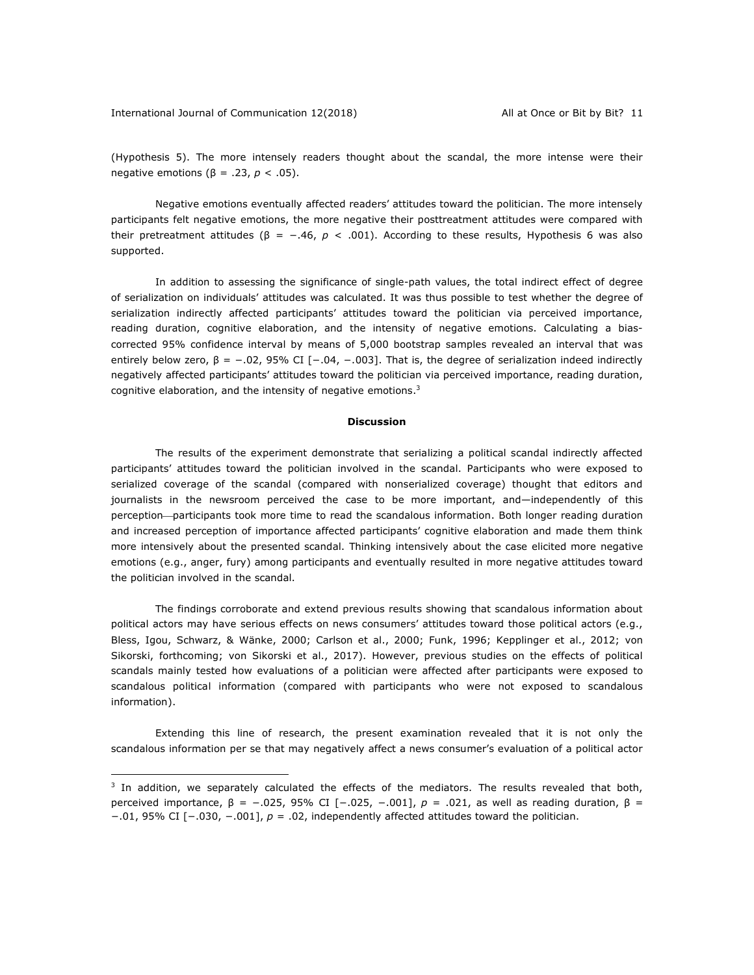<u>.</u>

(Hypothesis 5). The more intensely readers thought about the scandal, the more intense were their negative emotions (β = .23, *p* < .05).

Negative emotions eventually affected readers' attitudes toward the politician. The more intensely participants felt negative emotions, the more negative their posttreatment attitudes were compared with their pretreatment attitudes (β = −.46, *p* < .001). According to these results, Hypothesis 6 was also supported.

In addition to assessing the significance of single-path values, the total indirect effect of degree of serialization on individuals' attitudes was calculated. It was thus possible to test whether the degree of serialization indirectly affected participants' attitudes toward the politician via perceived importance, reading duration, cognitive elaboration, and the intensity of negative emotions. Calculating a biascorrected 95% confidence interval by means of 5,000 bootstrap samples revealed an interval that was entirely below zero,  $\beta = -.02$ , 95% CI [ $-.04$ ,  $-.003$ ]. That is, the degree of serialization indeed indirectly negatively affected participants' attitudes toward the politician via perceived importance, reading duration, cognitive elaboration, and the intensity of negative emotions.3

#### **Discussion**

The results of the experiment demonstrate that serializing a political scandal indirectly affected participants' attitudes toward the politician involved in the scandal. Participants who were exposed to serialized coverage of the scandal (compared with nonserialized coverage) thought that editors and journalists in the newsroom perceived the case to be more important, and—independently of this perception—participants took more time to read the scandalous information. Both longer reading duration and increased perception of importance affected participants' cognitive elaboration and made them think more intensively about the presented scandal. Thinking intensively about the case elicited more negative emotions (e.g., anger, fury) among participants and eventually resulted in more negative attitudes toward the politician involved in the scandal.

The findings corroborate and extend previous results showing that scandalous information about political actors may have serious effects on news consumers' attitudes toward those political actors (e.g., Bless, Igou, Schwarz, & Wänke, 2000; Carlson et al., 2000; Funk, 1996; Kepplinger et al., 2012; von Sikorski, forthcoming; von Sikorski et al., 2017). However, previous studies on the effects of political scandals mainly tested how evaluations of a politician were affected after participants were exposed to scandalous political information (compared with participants who were not exposed to scandalous information).

Extending this line of research, the present examination revealed that it is not only the scandalous information per se that may negatively affect a news consumer's evaluation of a political actor

 $3$  In addition, we separately calculated the effects of the mediators. The results revealed that both, perceived importance, β = −.025, 95% CI [−.025, −.001], *p* = .021, as well as reading duration, β = −.01, 95% CI [−.030, −.001], *p* = .02, independently affected attitudes toward the politician.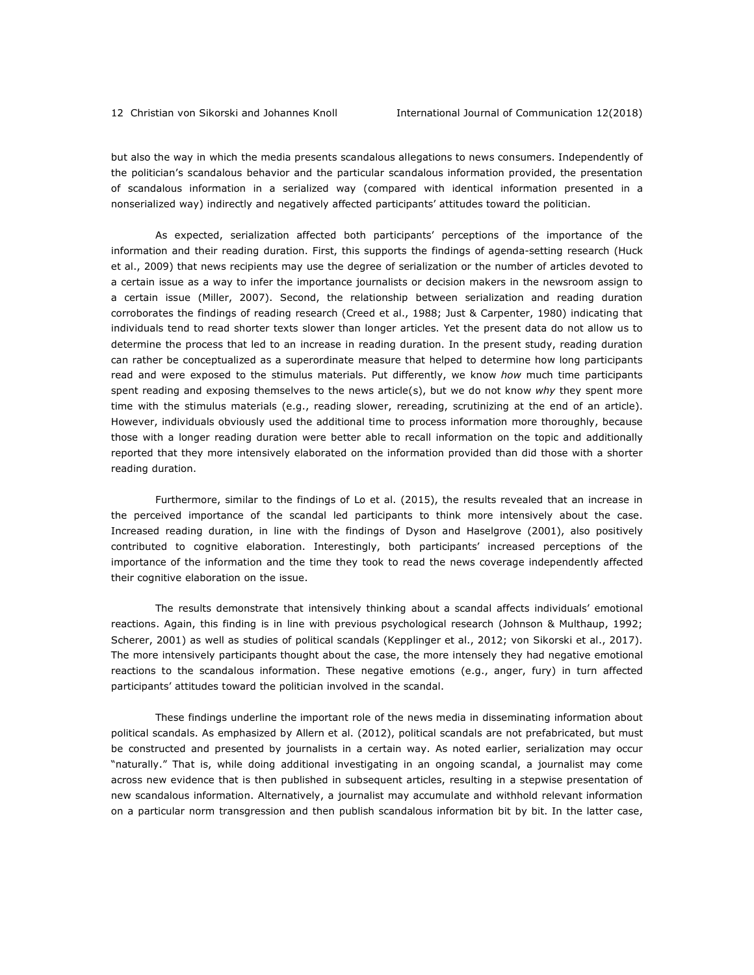but also the way in which the media presents scandalous allegations to news consumers. Independently of the politician's scandalous behavior and the particular scandalous information provided, the presentation of scandalous information in a serialized way (compared with identical information presented in a nonserialized way) indirectly and negatively affected participants' attitudes toward the politician.

As expected, serialization affected both participants' perceptions of the importance of the information and their reading duration. First, this supports the findings of agenda-setting research (Huck et al., 2009) that news recipients may use the degree of serialization or the number of articles devoted to a certain issue as a way to infer the importance journalists or decision makers in the newsroom assign to a certain issue (Miller, 2007). Second, the relationship between serialization and reading duration corroborates the findings of reading research (Creed et al., 1988; Just & Carpenter, 1980) indicating that individuals tend to read shorter texts slower than longer articles. Yet the present data do not allow us to determine the process that led to an increase in reading duration. In the present study, reading duration can rather be conceptualized as a superordinate measure that helped to determine how long participants read and were exposed to the stimulus materials. Put differently, we know *how* much time participants spent reading and exposing themselves to the news article(s), but we do not know *why* they spent more time with the stimulus materials (e.g., reading slower, rereading, scrutinizing at the end of an article). However, individuals obviously used the additional time to process information more thoroughly, because those with a longer reading duration were better able to recall information on the topic and additionally reported that they more intensively elaborated on the information provided than did those with a shorter reading duration.

Furthermore, similar to the findings of Lo et al. (2015), the results revealed that an increase in the perceived importance of the scandal led participants to think more intensively about the case. Increased reading duration, in line with the findings of Dyson and Haselgrove (2001), also positively contributed to cognitive elaboration. Interestingly, both participants' increased perceptions of the importance of the information and the time they took to read the news coverage independently affected their cognitive elaboration on the issue.

The results demonstrate that intensively thinking about a scandal affects individuals' emotional reactions. Again, this finding is in line with previous psychological research (Johnson & Multhaup, 1992; Scherer, 2001) as well as studies of political scandals (Kepplinger et al., 2012; von Sikorski et al., 2017). The more intensively participants thought about the case, the more intensely they had negative emotional reactions to the scandalous information. These negative emotions (e.g., anger, fury) in turn affected participants' attitudes toward the politician involved in the scandal.

These findings underline the important role of the news media in disseminating information about political scandals. As emphasized by Allern et al. (2012), political scandals are not prefabricated, but must be constructed and presented by journalists in a certain way. As noted earlier, serialization may occur "naturally." That is, while doing additional investigating in an ongoing scandal, a journalist may come across new evidence that is then published in subsequent articles, resulting in a stepwise presentation of new scandalous information. Alternatively, a journalist may accumulate and withhold relevant information on a particular norm transgression and then publish scandalous information bit by bit. In the latter case,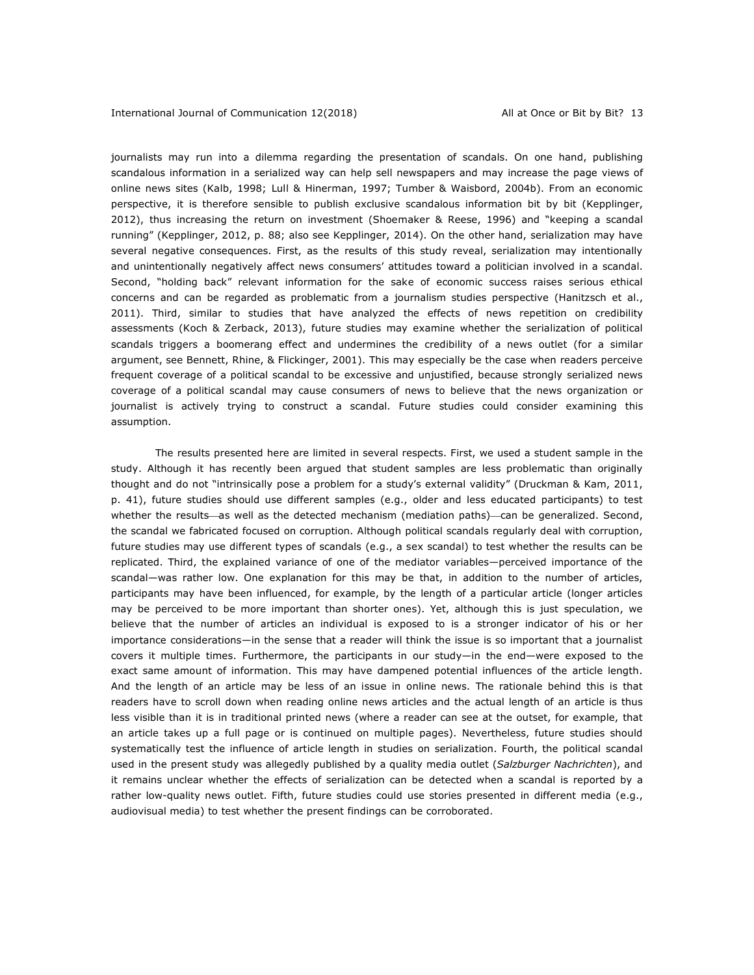journalists may run into a dilemma regarding the presentation of scandals. On one hand, publishing scandalous information in a serialized way can help sell newspapers and may increase the page views of online news sites (Kalb, 1998; Lull & Hinerman, 1997; Tumber & Waisbord, 2004b). From an economic perspective, it is therefore sensible to publish exclusive scandalous information bit by bit (Kepplinger, 2012), thus increasing the return on investment (Shoemaker & Reese, 1996) and "keeping a scandal running" (Kepplinger, 2012, p. 88; also see Kepplinger, 2014). On the other hand, serialization may have several negative consequences. First, as the results of this study reveal, serialization may intentionally and unintentionally negatively affect news consumers' attitudes toward a politician involved in a scandal. Second, "holding back" relevant information for the sake of economic success raises serious ethical concerns and can be regarded as problematic from a journalism studies perspective (Hanitzsch et al., 2011). Third, similar to studies that have analyzed the effects of news repetition on credibility assessments (Koch & Zerback, 2013), future studies may examine whether the serialization of political scandals triggers a boomerang effect and undermines the credibility of a news outlet (for a similar argument, see Bennett, Rhine, & Flickinger, 2001). This may especially be the case when readers perceive frequent coverage of a political scandal to be excessive and unjustified, because strongly serialized news coverage of a political scandal may cause consumers of news to believe that the news organization or journalist is actively trying to construct a scandal. Future studies could consider examining this assumption.

The results presented here are limited in several respects. First, we used a student sample in the study. Although it has recently been argued that student samples are less problematic than originally thought and do not "intrinsically pose a problem for a study's external validity" (Druckman & Kam, 2011, p. 41), future studies should use different samples (e.g., older and less educated participants) to test whether the results—as well as the detected mechanism (mediation paths)—can be generalized. Second, the scandal we fabricated focused on corruption. Although political scandals regularly deal with corruption, future studies may use different types of scandals (e.g., a sex scandal) to test whether the results can be replicated. Third, the explained variance of one of the mediator variables—perceived importance of the scandal—was rather low. One explanation for this may be that, in addition to the number of articles, participants may have been influenced, for example, by the length of a particular article (longer articles may be perceived to be more important than shorter ones). Yet, although this is just speculation, we believe that the number of articles an individual is exposed to is a stronger indicator of his or her importance considerations—in the sense that a reader will think the issue is so important that a journalist covers it multiple times. Furthermore, the participants in our study—in the end—were exposed to the exact same amount of information. This may have dampened potential influences of the article length. And the length of an article may be less of an issue in online news. The rationale behind this is that readers have to scroll down when reading online news articles and the actual length of an article is thus less visible than it is in traditional printed news (where a reader can see at the outset, for example, that an article takes up a full page or is continued on multiple pages). Nevertheless, future studies should systematically test the influence of article length in studies on serialization. Fourth, the political scandal used in the present study was allegedly published by a quality media outlet (*Salzburger Nachrichten*), and it remains unclear whether the effects of serialization can be detected when a scandal is reported by a rather low-quality news outlet. Fifth, future studies could use stories presented in different media (e.g., audiovisual media) to test whether the present findings can be corroborated.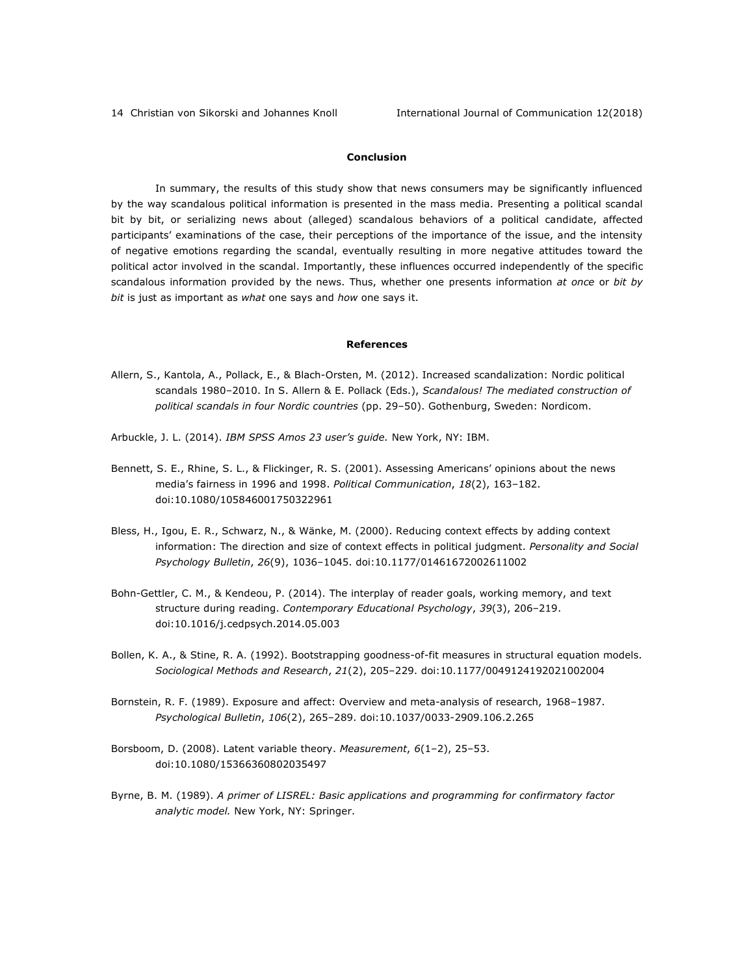## **Conclusion**

In summary, the results of this study show that news consumers may be significantly influenced by the way scandalous political information is presented in the mass media. Presenting a political scandal bit by bit, or serializing news about (alleged) scandalous behaviors of a political candidate, affected participants' examinations of the case, their perceptions of the importance of the issue, and the intensity of negative emotions regarding the scandal, eventually resulting in more negative attitudes toward the political actor involved in the scandal. Importantly, these influences occurred independently of the specific scandalous information provided by the news. Thus, whether one presents information *at once* or *bit by bit* is just as important as *what* one says and *how* one says it.

### **References**

- Allern, S., Kantola, A., Pollack, E., & Blach-Orsten, M. (2012). Increased scandalization: Nordic political scandals 1980–2010. In S. Allern & E. Pollack (Eds.), *Scandalous! The mediated construction of political scandals in four Nordic countries* (pp. 29–50). Gothenburg, Sweden: Nordicom.
- Arbuckle, J. L. (2014). *IBM SPSS Amos 23 user's guide.* New York, NY: IBM.
- Bennett, S. E., Rhine, S. L., & Flickinger, R. S. (2001). Assessing Americans' opinions about the news media's fairness in 1996 and 1998. *Political Communication*, *18*(2), 163–182. doi:10.1080/105846001750322961
- Bless, H., Igou, E. R., Schwarz, N., & Wänke, M. (2000). Reducing context effects by adding context information: The direction and size of context effects in political judgment. *Personality and Social Psychology Bulletin*, *26*(9), 1036–1045. doi:10.1177/01461672002611002
- Bohn-Gettler, C. M., & Kendeou, P. (2014). The interplay of reader goals, working memory, and text structure during reading. *Contemporary Educational Psychology*, *39*(3), 206–219. doi:10.1016/j.cedpsych.2014.05.003
- Bollen, K. A., & Stine, R. A. (1992). Bootstrapping goodness-of-fit measures in structural equation models. *Sociological Methods and Research*, *21*(2), 205–229. doi:10.1177/0049124192021002004
- Bornstein, R. F. (1989). Exposure and affect: Overview and meta-analysis of research, 1968–1987. *Psychological Bulletin*, *106*(2), 265–289. doi:10.1037/0033-2909.106.2.265
- Borsboom, D. (2008). Latent variable theory. *Measurement*, *6*(1–2), 25–53. doi:10.1080/15366360802035497
- Byrne, B. M. (1989). *A primer of LISREL: Basic applications and programming for confirmatory factor analytic model.* New York, NY: Springer.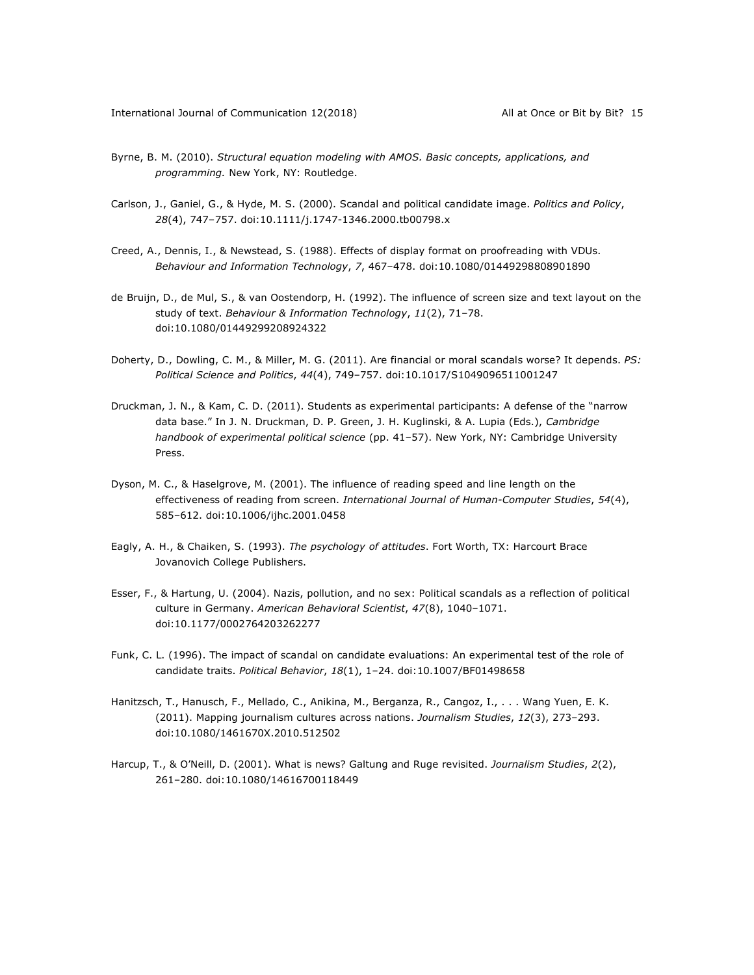- Byrne, B. M. (2010). *Structural equation modeling with AMOS. Basic concepts, applications, and programming.* New York, NY: Routledge.
- Carlson, J., Ganiel, G., & Hyde, M. S. (2000). Scandal and political candidate image. *Politics and Policy*, *28*(4), 747–757. doi:10.1111/j.1747-1346.2000.tb00798.x
- Creed, A., Dennis, I., & Newstead, S. (1988). Effects of display format on proofreading with VDUs. *Behaviour and Information Technology*, *7*, 467–478. doi:10.1080/01449298808901890
- de Bruijn, D., de Mul, S., & van Oostendorp, H. (1992). The influence of screen size and text layout on the study of text. *Behaviour & Information Technology*, *11*(2), 71–78. doi:10.1080/01449299208924322
- Doherty, D., Dowling, C. M., & Miller, M. G. (2011). Are financial or moral scandals worse? It depends. *PS: Political Science and Politics*, *44*(4), 749–757. doi:10.1017/S1049096511001247
- Druckman, J. N., & Kam, C. D. (2011). Students as experimental participants: A defense of the "narrow data base." In J. N. Druckman, D. P. Green, J. H. Kuglinski, & A. Lupia (Eds.), *Cambridge handbook of experimental political science* (pp. 41–57). New York, NY: Cambridge University Press.
- Dyson, M. C., & Haselgrove, M. (2001). The influence of reading speed and line length on the effectiveness of reading from screen. *International Journal of Human-Computer Studies*, *54*(4), 585–612. doi:10.1006/ijhc.2001.0458
- Eagly, A. H., & Chaiken, S. (1993). *The psychology of attitudes*. Fort Worth, TX: Harcourt Brace Jovanovich College Publishers.
- Esser, F., & Hartung, U. (2004). Nazis, pollution, and no sex: Political scandals as a reflection of political culture in Germany. *American Behavioral Scientist*, *47*(8), 1040–1071. doi:10.1177/0002764203262277
- Funk, C. L. (1996). The impact of scandal on candidate evaluations: An experimental test of the role of candidate traits. *Political Behavior*, *18*(1), 1–24. doi:10.1007/BF01498658
- Hanitzsch, T., Hanusch, F., Mellado, C., Anikina, M., Berganza, R., Cangoz, I., . . . Wang Yuen, E. K. (2011). Mapping journalism cultures across nations. *Journalism Studies*, *12*(3), 273–293. doi:10.1080/1461670X.2010.512502
- Harcup, T., & O'Neill, D. (2001). What is news? Galtung and Ruge revisited. *Journalism Studies*, *2*(2), 261–280. doi:10.1080/14616700118449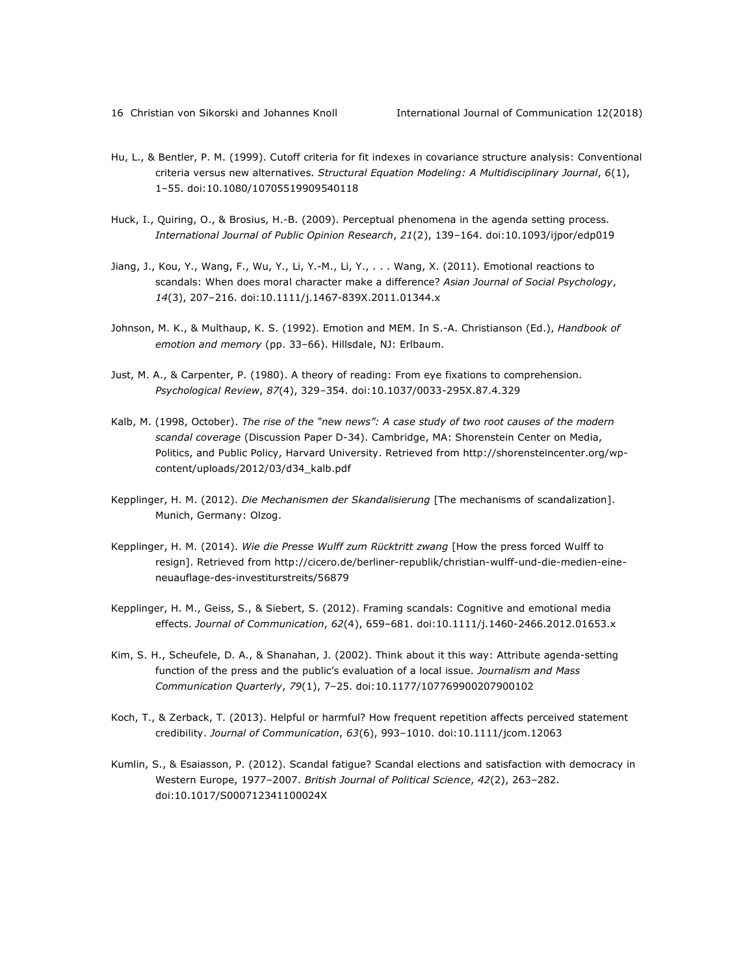- Hu, L., & Bentler, P. M. (1999). Cutoff criteria for fit indexes in covariance structure analysis: Conventional criteria versus new alternatives. *Structural Equation Modeling: A Multidisciplinary Journal*, *6*(1), 1–55. doi:10.1080/10705519909540118
- Huck, I., Quiring, O., & Brosius, H.-B. (2009). Perceptual phenomena in the agenda setting process. *International Journal of Public Opinion Research*, *21*(2), 139–164. doi:10.1093/ijpor/edp019
- Jiang, J., Kou, Y., Wang, F., Wu, Y., Li, Y.-M., Li, Y., . . . Wang, X. (2011). Emotional reactions to scandals: When does moral character make a difference? *Asian Journal of Social Psychology*, *14*(3), 207–216. doi:10.1111/j.1467-839X.2011.01344.x
- Johnson, M. K., & Multhaup, K. S. (1992). Emotion and MEM. In S.-A. Christianson (Ed.), *Handbook of emotion and memory* (pp. 33–66). Hillsdale, NJ: Erlbaum.
- Just, M. A., & Carpenter, P. (1980). A theory of reading: From eye fixations to comprehension. *Psychological Review*, *87*(4), 329–354. doi:10.1037/0033-295X.87.4.329
- Kalb, M. (1998, October). *The rise of the "new news": A case study of two root causes of the modern scandal coverage* (Discussion Paper D-34). Cambridge, MA: Shorenstein Center on Media, Politics, and Public Policy, Harvard University. Retrieved from http://shorensteincenter.org/wpcontent/uploads/2012/03/d34\_kalb.pdf
- Kepplinger, H. M. (2012). *Die Mechanismen der Skandalisierung* [The mechanisms of scandalization]. Munich, Germany: Olzog.
- Kepplinger, H. M. (2014). *Wie die Presse Wulff zum Rücktritt zwang* [How the press forced Wulff to resign]. Retrieved from http://cicero.de/berliner-republik/christian-wulff-und-die-medien-eineneuauflage-des-investiturstreits/56879
- Kepplinger, H. M., Geiss, S., & Siebert, S. (2012). Framing scandals: Cognitive and emotional media effects. *Journal of Communication*, *62*(4), 659–681. doi:10.1111/j.1460-2466.2012.01653.x
- Kim, S. H., Scheufele, D. A., & Shanahan, J. (2002). Think about it this way: Attribute agenda-setting function of the press and the public's evaluation of a local issue. *Journalism and Mass Communication Quarterly*, *79*(1), 7–25. doi:10.1177/107769900207900102
- Koch, T., & Zerback, T. (2013). Helpful or harmful? How frequent repetition affects perceived statement credibility. *Journal of Communication*, *63*(6), 993–1010. doi:10.1111/jcom.12063
- Kumlin, S., & Esaiasson, P. (2012). Scandal fatigue? Scandal elections and satisfaction with democracy in Western Europe, 1977–2007. *British Journal of Political Science*, *42*(2), 263–282. doi:10.1017/S000712341100024X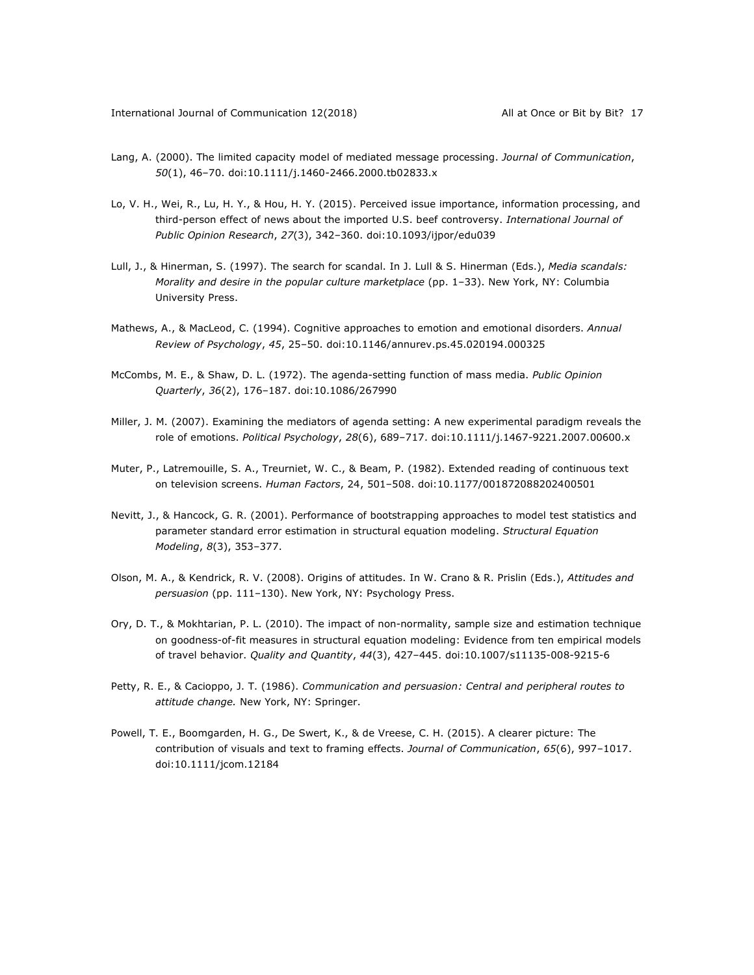- Lang, A. (2000). The limited capacity model of mediated message processing. *Journal of Communication*, *50*(1), 46–70. doi:10.1111/j.1460-2466.2000.tb02833.x
- Lo, V. H., Wei, R., Lu, H. Y., & Hou, H. Y. (2015). Perceived issue importance, information processing, and third-person effect of news about the imported U.S. beef controversy. *International Journal of Public Opinion Research*, *27*(3), 342–360. doi:10.1093/ijpor/edu039
- Lull, J., & Hinerman, S. (1997). The search for scandal. In J. Lull & S. Hinerman (Eds.), *Media scandals: Morality and desire in the popular culture marketplace* (pp. 1–33). New York, NY: Columbia University Press.
- Mathews, A., & MacLeod, C. (1994). Cognitive approaches to emotion and emotional disorders. *Annual Review of Psychology*, *45*, 25–50. doi:10.1146/annurev.ps.45.020194.000325
- McCombs, M. E., & Shaw, D. L. (1972). The agenda-setting function of mass media. *Public Opinion Quarterly*, *36*(2), 176–187. doi:10.1086/267990
- Miller, J. M. (2007). Examining the mediators of agenda setting: A new experimental paradigm reveals the role of emotions. *Political Psychology*, *28*(6), 689–717. doi:10.1111/j.1467-9221.2007.00600.x
- Muter, P., Latremouille, S. A., Treurniet, W. C., & Beam, P. (1982). Extended reading of continuous text on television screens. *Human Factors*, 24, 501–508. doi:10.1177/001872088202400501
- Nevitt, J., & Hancock, G. R. (2001). Performance of bootstrapping approaches to model test statistics and parameter standard error estimation in structural equation modeling. *Structural Equation Modeling*, *8*(3), 353–377.
- Olson, M. A., & Kendrick, R. V. (2008). Origins of attitudes. In W. Crano & R. Prislin (Eds.), *Attitudes and persuasion* (pp. 111–130). New York, NY: Psychology Press.
- Ory, D. T., & Mokhtarian, P. L. (2010). The impact of non-normality, sample size and estimation technique on goodness-of-fit measures in structural equation modeling: Evidence from ten empirical models of travel behavior. *Quality and Quantity*, *44*(3), 427–445. doi:10.1007/s11135-008-9215-6
- Petty, R. E., & Cacioppo, J. T. (1986). *Communication and persuasion: Central and peripheral routes to attitude change.* New York, NY: Springer.
- Powell, T. E., Boomgarden, H. G., De Swert, K., & de Vreese, C. H. (2015). A clearer picture: The contribution of visuals and text to framing effects. *Journal of Communication*, *65*(6), 997–1017. doi:10.1111/jcom.12184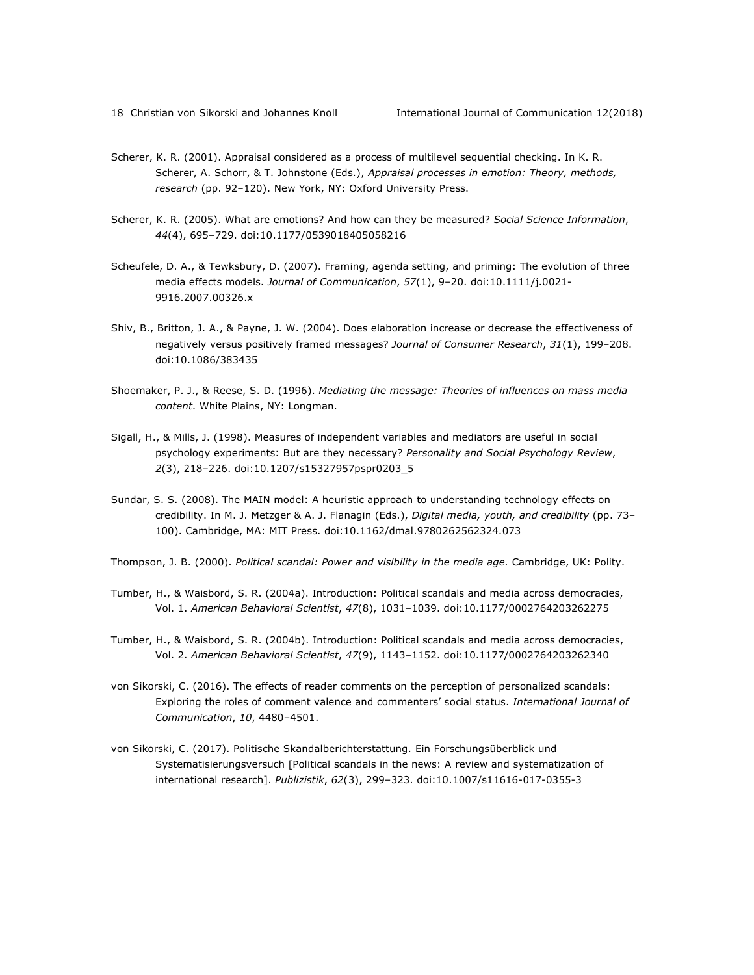- Scherer, K. R. (2001). Appraisal considered as a process of multilevel sequential checking. In K. R. Scherer, A. Schorr, & T. Johnstone (Eds.), *Appraisal processes in emotion: Theory, methods, research* (pp. 92–120). New York, NY: Oxford University Press.
- Scherer, K. R. (2005). What are emotions? And how can they be measured? *Social Science Information*, *44*(4), 695–729. doi:10.1177/0539018405058216
- Scheufele, D. A., & Tewksbury, D. (2007). Framing, agenda setting, and priming: The evolution of three media effects models. *Journal of Communication*, *57*(1), 9–20. doi:10.1111/j.0021- 9916.2007.00326.x
- Shiv, B., Britton, J. A., & Payne, J. W. (2004). Does elaboration increase or decrease the effectiveness of negatively versus positively framed messages? *Journal of Consumer Research*, *31*(1), 199–208. doi:10.1086/383435
- Shoemaker, P. J., & Reese, S. D. (1996). *Mediating the message: Theories of influences on mass media content*. White Plains, NY: Longman.
- Sigall, H., & Mills, J. (1998). Measures of independent variables and mediators are useful in social psychology experiments: But are they necessary? *Personality and Social Psychology Review*, *2*(3), 218–226. doi:10.1207/s15327957pspr0203\_5
- Sundar, S. S. (2008). The MAIN model: A heuristic approach to understanding technology effects on credibility. In M. J. Metzger & A. J. Flanagin (Eds.), *Digital media, youth, and credibility* (pp. 73– 100). Cambridge, MA: MIT Press. doi:10.1162/dmal.9780262562324.073
- Thompson, J. B. (2000). *Political scandal: Power and visibility in the media age.* Cambridge, UK: Polity.
- Tumber, H., & Waisbord, S. R. (2004a). Introduction: Political scandals and media across democracies, Vol. 1. *American Behavioral Scientist*, *47*(8), 1031–1039. doi:10.1177/0002764203262275
- Tumber, H., & Waisbord, S. R. (2004b). Introduction: Political scandals and media across democracies, Vol. 2. *American Behavioral Scientist*, *47*(9), 1143–1152. doi:10.1177/0002764203262340
- von Sikorski, C. (2016). The effects of reader comments on the perception of personalized scandals: Exploring the roles of comment valence and commenters' social status. *International Journal of Communication*, *10*, 4480–4501.
- von Sikorski, C. (2017). Politische Skandalberichterstattung. Ein Forschungsüberblick und Systematisierungsversuch [Political scandals in the news: A review and systematization of international research]. *Publizistik*, *62*(3), 299–323. doi:10.1007/s11616-017-0355-3